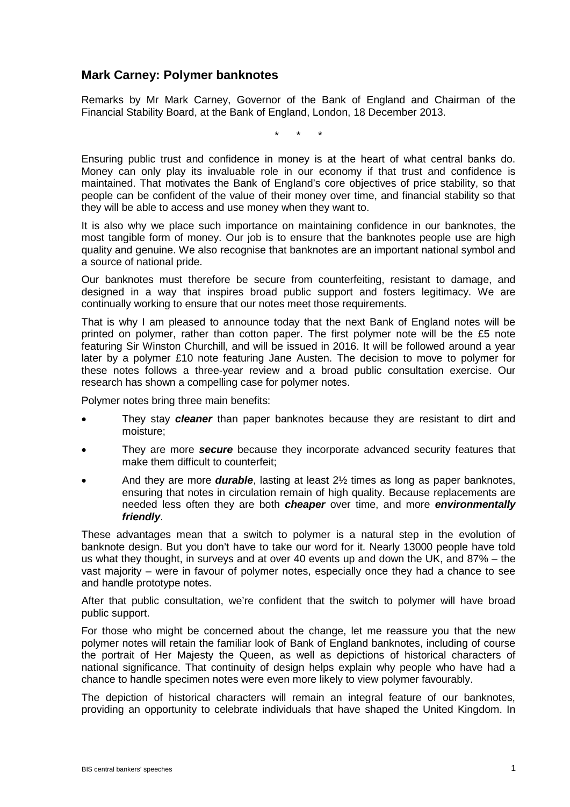## **Mark Carney: Polymer banknotes**

Remarks by Mr Mark Carney, Governor of the Bank of England and Chairman of the Financial Stability Board, at the Bank of England, London, 18 December 2013.

\* \* \*

Ensuring public trust and confidence in money is at the heart of what central banks do. Money can only play its invaluable role in our economy if that trust and confidence is maintained. That motivates the Bank of England's core objectives of price stability, so that people can be confident of the value of their money over time, and financial stability so that they will be able to access and use money when they want to.

It is also why we place such importance on maintaining confidence in our banknotes, the most tangible form of money. Our job is to ensure that the banknotes people use are high quality and genuine. We also recognise that banknotes are an important national symbol and a source of national pride.

Our banknotes must therefore be secure from counterfeiting, resistant to damage, and designed in a way that inspires broad public support and fosters legitimacy. We are continually working to ensure that our notes meet those requirements.

That is why I am pleased to announce today that the next Bank of England notes will be printed on polymer, rather than cotton paper. The first polymer note will be the £5 note featuring Sir Winston Churchill, and will be issued in 2016. It will be followed around a year later by a polymer £10 note featuring Jane Austen. The decision to move to polymer for these notes follows a three-year review and a broad public consultation exercise. Our research has shown a compelling case for polymer notes.

Polymer notes bring three main benefits:

- They stay *cleaner* than paper banknotes because they are resistant to dirt and moisture;
- They are more *secure* because they incorporate advanced security features that make them difficult to counterfeit;
- And they are more *durable*, lasting at least 2½ times as long as paper banknotes, ensuring that notes in circulation remain of high quality. Because replacements are needed less often they are both *cheaper* over time, and more *environmentally friendly*.

These advantages mean that a switch to polymer is a natural step in the evolution of banknote design. But you don't have to take our word for it. Nearly 13000 people have told us what they thought, in surveys and at over 40 events up and down the UK, and 87% – the vast majority – were in favour of polymer notes, especially once they had a chance to see and handle prototype notes.

After that public consultation, we're confident that the switch to polymer will have broad public support.

For those who might be concerned about the change, let me reassure you that the new polymer notes will retain the familiar look of Bank of England banknotes, including of course the portrait of Her Majesty the Queen, as well as depictions of historical characters of national significance. That continuity of design helps explain why people who have had a chance to handle specimen notes were even more likely to view polymer favourably.

The depiction of historical characters will remain an integral feature of our banknotes, providing an opportunity to celebrate individuals that have shaped the United Kingdom. In